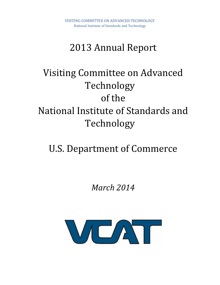# 2013 Annual Report

# Visiting Committee on Advanced Technology of the National Institute of Standards and Technology

# U.S. Department of Commerce

*March 2014*

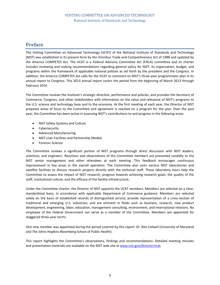# **Preface**

The Visiting Committee on Advanced Technology (VCAT) of the National Institute of Standards and Technology (NIST) was established in its present form by the Omnibus Trade and Competitiveness Act of 1988 and updated by the America COMPETES Act. The VCAT is a Federal Advisory Committee Act (FACA) committee and its charter includes reviewing and making recommendations regarding general policy for NIST, its organization, budget, and programs within the framework of applicable national policies as set forth by the president and the Congress. In addition, the America COMPETES Act calls for the VCAT to comment on NIST's three-year programmatic plan in its annual report to Congress. This 2013 annual report covers the period from the beginning of March 2013 through February 2014.

The Committee reviews the Institute's strategic direction, performance and policies, and provides the Secretary of Commerce, Congress, and other stakeholders with information on the value and relevance of NIST's programs to the U.S. science and technology base and to the economy. At the first meeting of each year, the Director of NIST proposes areas of focus to the Committee and agreement is reached on a program for the year. Over the past year, the Committee has been active in assessing NIST's contributions to and progress in the following areas:

- NIST Safety Systems and Culture
- Cybersecurity
- Advanced Manufacturing
- NIST User Facilities and Partnership Models
- Forensic Science

The Committee reviews a significant portion of NIST programs through direct discussion with NIST leaders, scientists, and engineers. Reactions and observations of the Committee members are presented candidly to the NIST senior management and other attendees at each meeting. This feedback encourages continuous improvement in key areas in the overall operation. The Committee also visits various NIST laboratories and satellite facilities to discuss research projects directly with the technical staff. These laboratory tours help the Committee to assess the impact of NIST research, progress towards achieving research goals, the quality of the staff, institutional culture, and the efficacy of the facility infrastructure.

Under the Committee charter, the Director of NIST appoints the VCAT members. Members are selected on a clear, standardized basis, in accordance with applicable Department of Commerce guidance. Members are selected solely on the basis of established records of distinguished service; provide representation of a cross-section of traditional and emerging U.S. industries; and are eminent in fields such as business, research, new product development, engineering, labor, education, management consulting, environment, and international relations. No employee of the Federal Government can serve as a member of the Committee. Members are appointed for staggered three-year terms.

One new member was appointed during the period covered by this report: Dr. Rita Colwell (University of Maryland and The Johns Hopkins Bloomberg School of Public Health).

This report highlights the Committee's observations, findings and recommendations. Detailed meeting minutes and presentation materials are available on the NIST web site at [www.nist.gov/director/vcat.](http://www.nist.gov/director/vcat)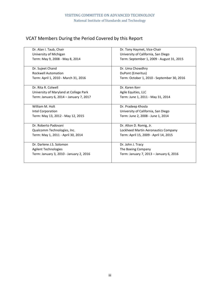# VCAT Members During the Period Covered by this Report

| Dr. Alan I. Taub, Chair                 | Dr. Tony Haymet, Vice-Chair                |  |
|-----------------------------------------|--------------------------------------------|--|
| University of Michigan                  | University of California, San Diego        |  |
| Term: May 9, 2008 - May 8, 2014         | Term: September 1, 2009 - August 31, 2015  |  |
|                                         |                                            |  |
| Dr. Sujeet Chand                        | Dr. Uma Chowdhry                           |  |
| <b>Rockwell Automation</b>              | DuPont (Emeritus)                          |  |
| Term: April 1, 2010 - March 31, 2016    | Term: October 1, 2010 - September 30, 2016 |  |
|                                         |                                            |  |
| Dr. Rita R. Colwell                     | Dr. Karen Kerr                             |  |
| University of Maryland at College Park  | Agile Equities, LLC                        |  |
| Term: January 6, 2014 - January 7, 2017 | Term: June 1, 2011 - May 31, 2014          |  |
|                                         |                                            |  |
| William M. Holt                         | Dr. Pradeep Khosla                         |  |
| Intel Corporation                       | University of California, San Diego        |  |
| Term: May 13, 2012 - May 12, 2015       | Term: June 2, 2008 - June 1, 2014          |  |
|                                         |                                            |  |
| Dr. Roberto Padovani                    | Dr. Alton D. Romig, Jr.                    |  |
| Qualcomm Technologies, Inc.             | Lockheed Martin Aeronautics Company        |  |
| Term: May 1, 2011 - April 30, 2014      | Term: April 15, 2009 - April 14, 2015      |  |
|                                         |                                            |  |
| Dr. Darlene J.S. Solomon                | Dr. John J. Tracy                          |  |
| <b>Agilent Technologies</b>             | The Boeing Company                         |  |
| Term: January 3, 2010 - January 2, 2016 | Term: January 7, 2013 - January 6, 2016    |  |
|                                         |                                            |  |
|                                         |                                            |  |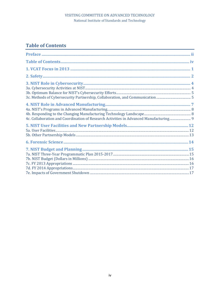# **Table of Contents**

| 4c. Collaboration and Coordination of Research Activities in Advanced Manufacturing 9 |  |
|---------------------------------------------------------------------------------------|--|
|                                                                                       |  |
|                                                                                       |  |
|                                                                                       |  |
|                                                                                       |  |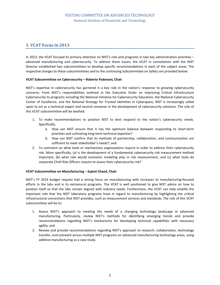# **1. VCAT Focus in 2013**

In 2013, the VCAT focused its primary attention on NIST's role and programs in two key administration priorities – advanced manufacturing and cybersecurity. To address these issues, the VCAT in consultation with the NIST Director established two subcommittees to develop specific recommendations in each of the subject areas. The respective charges to these subcommittees and to the continuing Subcommittee on Safety are provided below:

## **VCAT Subcommittee on Cybersecurity – Roberto Padovani, Chair**

NIST's expertise in cybersecurity has garnered it a key role in the nation's response to growing cybersecurity concerns. From NIST's responsibilities outlined in the Executive Order on Improving Critical Infrastructure Cybersecurity to programs including the National Initiative for Cybersecurity Education, the National Cybersecurity Center of Excellence, and the National Strategy for Trusted Identities in Cyberspace, NIST is increasingly called upon to act as a technical expert and neutral convener in the development of cybersecurity solutions. The role of this VCAT subcommittee will be twofold:

- 1. To make recommendations to position NIST to best respond to the nation's cybersecurity needs. Specifically,
	- a. How can NIST ensure that it has the optimum balance between responding to short-term priorities and cultivating long-term technical expertise?
	- b. How can NIST confirm that its methods of partnership, collaboration, and communication are sufficient to meet stakeholder's needs?; and
- 2. To comment on what tools or mechanisms organizations require in order to address their cybersecurity risk. More specifically, (a) is the development of a fundamental cybersecurity risk measurement method important, (b) what role would economic modeling play in risk measurement, and (c) what tools do corporate Chief Risk Officers require to assess their cybersecurity risk?

## **VCAT Subcommittee on Manufacturing – Sujeet Chand, Chair**

NIST's FY 2014 budget request had a strong focus on manufacturing with increases to manufacturing-focused efforts in the labs and in its extramural programs. The VCAT is well positioned to give NIST advice on how to position itself so that the labs remain aligned with industry needs. Furthermore, the VCAT can help amplify the important role that the NIST laboratory programs have in regard to manufacturing by highlighting the critical infrastructural connections that NIST provides, such as measurement services and standards. The role of this VCAT subcommittee will be to:

- 1. Assess NIST's approach to meeting the needs of a changing technology landscape in advanced manufacturing. Particularly, review NIST's methods for identifying emerging trends and provide recommendations regarding NIST's mechanisms for developing technical capabilities with necessary agility; and
- 2. Review and provide recommendations regarding NIST's approach to research, collaboration, technology transfer, and outreach across multiple NIST programs on advanced manufacturing technology areas, using additive manufacturing as a case study.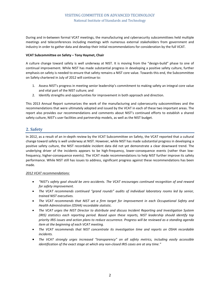During and in-between formal VCAT meetings, the manufacturing and cybersecurity subcommittees held multiple meetings and teleconferences including meetings with numerous external stakeholders from government and industry in order to gather data and develop their initial recommendations for consideration by the full VCAT.

### **VCAT Subcommittee on Safety – Tony Haymet, Chair**

A culture change toward safety is well underway at NIST. It is moving from the "design-build" phase to one of continual improvement. While NIST has made substantial progress in developing a positive safety culture, further emphasis on safety is needed to ensure that safety remains a NIST core value. Towards this end, the Subcommittee on Safety chartered in July of 2012 will continue to:

- 1. Assess NIST's progress in meeting senior leadership's commitment to making safety an integral core value and vital part of the NIST culture; and
- 2. Identify strengths and opportunities for improvement in both approach and direction.

This 2013 Annual Report summarizes the work of the manufacturing and cybersecurity subcommittees and the recommendations that were ultimately adopted and issued by the VCAT in each of these two important areas. The report also provides our recommendations and comments about NIST's continued efforts to establish a shared safety culture, NIST's user facilities and partnership models, as well as the NIST budget.

# **2. Safety**

In 2012, as a result of an in-depth review by the VCAT Subcommittee on Safety, the VCAT reported that a cultural change toward safety is well underway at NIST. However, while NIST has made substantial progress in developing a positive safety culture, the NIST recordable incident data did not yet demonstrate a clear downward trend. The underlying driver of the incidents appears to be high-frequency, lower-consequence events (rather than lowfrequency, higher-consequence events). The VCAT made recommendations to help NIST further improve its safety performance. While NIST still has issues to address, significant progress against these recommendations has been made.

## *2012 VCAT recommendations:*

- *"NIST's safety goal should be zero accidents. The VCAT encourages continued recognition of and reward for safety improvement.*
- *The VCAT recommends continued "grand rounds" audits of individual laboratory rooms led by senior, trained NIST executives.*
- *The VCAT recommends that NIST set a firm target for improvement in each Occupational Safety and Health Administration (OSHA) recordable statistic.*
- *The VCAT urges the NIST Director to distribute and discuss Incident Reporting and Investigation System (IRIS) statistics each reporting period. Based upon these reports, NIST leadership should identify top priority IRIS issues and action plans to reduce occurrence. Progress will be reviewed as a standing agenda item at the beginning of each VCAT meeting.*
- *The VCAT recommends that NIST concentrate its investigation time and reports on OSHA recordable incidents.*
- *The VCAT strongly urges increased "transparency" on all safety metrics, including easily accessible identification of the exact stage at which any non-closed IRIS cases are at any time."*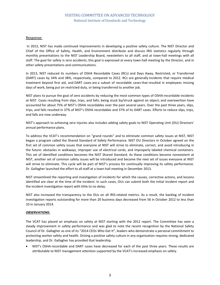## Response:

In 2013, NIST has made continued improvements in developing a positive safety culture. The NIST Director and Chief of the Office of Safety, Health, and Environment distribute and discuss IRIS statistics regularly through monthly presentations to the NIST Leadership Board, newsletters to all staff, and at town-hall meetings with all staff. The goal for safety is zero accidents; this goal is expressed at every town-hall meeting by the Director, and in other safety presentations and communications.

In 2013, NIST reduced its numbers of OSHA Recordable Cases (RCs) and Days Away, Restricted, or Transferred (DART) cases by 34% and 38%, respectively, compared to 2012. RCs are generally incidents that require medical treatment beyond first aid, and DART cases are a subset of recordable cases that resulted in employees missing days of work, being put on restricted duty, or being transferred to another job.

NIST plans to pursue the goal of zero accidents by reducing the most common types of OSHA-recordable incidents at NIST. Cases resulting from slips, trips, and falls; being stuck by/struck against an object; and overexertion have accounted for about 75% of NIST's OSHA recordables over the past several years. Over the past three years, slips, trips, and falls resulted in 37% of NIST's OSHA recordables and 37% of its DART cases. Efforts to reduce slips, trips, and falls are now underway.

NIST's approach to achieving zero injuries also includes adding safety goals to NIST Operating Unit (OU) Directors' annual performance plans.

To address the VCAT's recommendation on "grand rounds" and to eliminate common safety issues at NIST, NIST began a program called the Shared Standard of Safety Performance. NIST OU Directors in October agreed on the first set of common safety issues that everyone at NIST will strive to eliminate, correct, and avoid introducing in the future: obstacles in walkways, improper use of electrical cords, and improperly labeled chemical containers. This set of identified conditions becomes the NIST Shared Standard. As these conditions become nonexistent at NIST, another set of common safety issues will be introduced and become the next set of issues everyone at NIST will strive to eliminate. This cycle will be part of NIST's process for continually improving its safety performance. Dr. Gallagher launched the effort to all staff at a town-hall meeting in December 2013.

NIST streamlined the reporting and investigation of incidents for which the causes, corrective actions, and lessons identified are clear at the time of the incident. In such cases, OUs can submit both the initial incident report and the incident investigation report with little to no delay.

NIST also increased the transparency to the OUs on all IRIS-related metrics. As a result, the backlog of incident investigation reports outstanding for more than 20 business days decreased from 56 in October 2012 to less than 10 in January 2014.

## *OBSERVATIONS:*

The VCAT has placed an emphasis on safety at NIST starting with the 2012 report. The Committee has seen a steady improvement in safety performance and was glad to note the recent recognition by the National Safety Council of Dr. Gallagher as one of its "2014 CEOs Who Get It", leaders who demonstrate a personal commitment to protecting worker safety and health. Driving a positive safety culture in any organization requires strong, dedicated leadership, and Dr. Gallagher has provided that leadership.

• NIST's OSHA-recordable and DART cases have decreased for each of the past three years. These results are attributable to NIST management attention supported by the VCAT's increased emphasis on safety.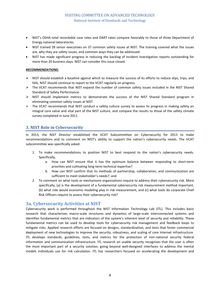- NIST's OSHA total recordable case rates and DART rates compare favorably to those of three Department of Energy national laboratories.
- NIST trained 28 senior executives on 37 common safety issues at NIST. The training covered what the issues are, why they are safety issues, and common ways they can be addressed.
- NIST has made significant progress in reducing the backlog of incident investigation reports outstanding for more than 20 business days. NIST can consider this issue closed.

## *RECOMMENDATIONS:*

- $\triangleright$  NIST should establish a baseline against which to measure the success of its efforts to reduce slips, trips, and falls. NIST should continue to report to the VCAT regularly on progress.
- $\triangleright$  The VCAT recommends that NIST expand the number of common safety issues included in the NIST Shared Standard of Safety Performance.
- $\triangleright$  NIST should implement metrics to demonstrate the success of the NIST Shared Standard program in eliminating common safety issues at NIST.
- $\triangleright$  The VCAT recommends that NIST conduct a safety culture survey to assess its progress in making safety an integral core value and vital part of the NIST culture, and compare the results to those of the safety climate survey completed in June 2011.

# **3. NIST Role in Cybersecurity**

In 2013, the NIST Director established the VCAT Subcommittee on Cybersecurity for 2013 to make recommendations and to comment on NIST's ability to support the nation's cybersecurity needs. The VCAT subcommittee was specifically asked:

- 1. To make recommendations to position NIST to best respond to the nation's cybersecurity needs. Specifically,
	- a. How can NIST ensure that it has the optimum balance between responding to short-term priorities and cultivating long-term technical expertise?
	- b. How can NIST confirm that its methods of partnership, collaboration, and communication are sufficient to meet stakeholder's needs?; and
- 2. To comment on what tools or mechanisms organizations require to address their cybersecurity risk. More specifically, (a) is the development of a fundamental cybersecurity risk measurement method important, (b) what role would economic modeling play in risk measurement, and (c) what tools do corporate Chief Risk Officers require to assess their cybersecurity risk?

# **3a. Cybersecurity Activities at NIST**

Cybersecurity work is performed throughout the NIST Information Technology Lab (ITL). This includes basic research that characterizes macro-scale structures and dynamics of large-scale interconnected systems and identifies fundamental metrics that are indicators of the system's inherent level of security and reliability. These fundamental metrics can be used to develop tools for cybersecurity risk management and feedback loops to mitigate risks. Applied research efforts are focused on designs, standardization, and tests that foster commercial deployment of new technologies to improve the security, robustness, and scaling of core Internet infrastructure. ITL develops standards, guidelines, tests, and metrics for the protection of non-national security federal information and communication infrastructure. ITL research on usable security recognizes that the user is often the most important part of a security solution, going beyond well-designed interfaces to address the mental models individuals use for risk calculation. ITL has researchers focused on accelerating the development and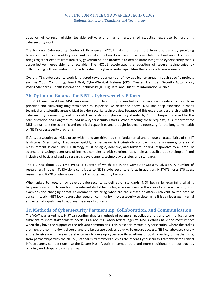adoption of correct, reliable, testable software and has an established statistical expertise to fortify its cybersecurity work.

The National Cybersecurity Center of Excellence (NCCoE) takes a more short term approach by providing businesses with real-world cybersecurity capabilities based on commercially available technologies. The center brings together experts from industry, government, and academia to demonstrate integrated cybersecurity that is cost-effective, repeatable, and scalable. The NCCoE accelerates the adoption of secure technologies by collaborating with innovators to provide real-world cybersecurity capabilities that address business needs.

Overall, ITL's cybersecurity work is targeted towards a number of key application areas through specific projects such as Cloud Computing, Smart Grid, Cyber-Physical Systems (CPS), Trusted Identities, Security Automation, Voting Standards, Health Information Technology (IT), Big Data, and Quantum Information Science.

# **3b. Optimum Balance for NIST's Cybersecurity Efforts**

The VCAT was asked how NIST can ensure that it has the optimum balance between responding to short-term priorities and cultivating long-term technical expertise. As described above, NIST has deep expertise in many technical and scientific areas critical to cybersecurity technologies. Because of this expertise, partnership with the cybersecurity community, and successful leadership in cybersecurity standards, NIST is frequently asked by the Administration and Congress to lead new cybersecurity efforts. When meeting these requests, it is important for NIST to maintain the scientific and technical capabilities and thought leadership necessary for the long-term health of NIST's cybersecurity programs.

ITL's cybersecurity activities occur within and are driven by the fundamental and unique characteristics of the IT landscape. Specifically, IT advances quickly, is pervasive, is intrinsically complex, and is an emerging area of measurement science. The ITL strategy must be agile, adaptive, and forward-looking; responsive to all areas of science and society; cognizant of intrinsic complexity with solutions "as simple as possible but no simpler;" and inclusive of basic and applied research, development, technology transfer, and standards.

The ITL has about 370 employees, a quarter of which are in the Computer Security Division. A number of researchers in other ITL Divisions contribute to NIST's cybersecurity efforts. In addition, NIST/ITL hosts 170 guest researchers, 10-20 of whom work in the Computer Security Division.

When asked to research or develop cybersecurity guidelines or standards, NIST begins by examining what is happening within IT to see how the relevant digital technologies are evolving in the area of concern. Second, NIST examines the changing threat environment exploring what are the classes of attacks relevant to the area of concern. Lastly, NIST looks across the research community in cybersecurity to determine if it can leverage internal and external capabilities to address the area of concern.

# **3c. Methods of Cybersecurity Partnership, Collaboration, and Communication**

The VCAT was asked how NIST can confirm that its methods of partnership, collaboration, and communication are sufficient to meet stakeholders' needs. As a non-regulatory federal agency, NIST's efforts have the most impact when they have the support of the relevant communities. This is especially true in cybersecurity, where the stakes are high, the community is diverse, and the landscape evolves quickly. To ensure success, NIST collaborates closely and extensively with relevant stakeholders to develop cybersecurity solutions through a variety of mechanisms, from partnerships with the NCCoE, standards frameworks such as the recent Cybersecurity Framework for Critical Infrastructure, competitions like the Secure Hash Algorithm competition, and more traditional methods such as ongoing workshops and conferences.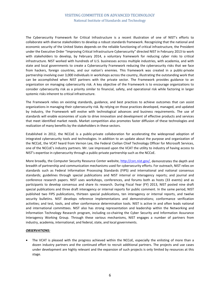The Cybersecurity Framework for Critical Infrastructure is a recent illustration of one of NIST's efforts to collaborate with diverse stakeholders to develop a robust standards framework. Recognizing that the national and economic security of the United States depends on the reliable functioning of critical infrastructure, the President under the Executive Order "Improving Critical Infrastructure Cybersecurity" directed NIST in February 2013 to work with stakeholders to develop, by February 2014, a voluntary framework for reducing cyber risks to critical infrastructure. NIST worked with hundreds of U.S. businesses across multiple industries, with academia, and with state and local governments to create a Cybersecurity Framework reducing the cybersecurity risks that we face from hackers, foreign countries, and our nation's enemies. This framework was created in a public-private partnership involving over 3,000 individuals in workshops across the country, illustrating the outstanding work that can be accomplished when NIST partners with the private sector. The Framework provides guidance to an organization on managing cybersecurity risk. A key objective of the Framework is to encourage organizations to consider cybersecurity risk as a priority similar to financial, safety, and operational risk while factoring in larger systemic risks inherent to critical infrastructure.

The Framework relies on existing standards, guidance, and best practices to achieve outcomes that can assist organizations in managing their cybersecurity risk. By relying on those practices developed, managed, and updated by industry, the Framework will evolve with technological advances and business requirements. The use of standards will enable economies of scale to drive innovation and development of effective products and services that meet identified market needs. Market competition also promotes faster diffusion of these technologies and realization of many benefits by the stakeholders in these sectors.

Established in 2012, the NCCoE is a public-private collaboration for accelerating the widespread adoption of integrated cybersecurity tools and technologies. In addition to an update about the purpose and organization of the NCCoE, the VCAT heard from Vernon Lee, the Federal Civilian Chief Technology Officer for Microsoft Services, one of the NCCoE's industry partners. Mr. Lee impressed upon the VCAT the utility to industry of having access to NIST's expertise in cybersecurity through a public-private partnership such as the NCCoE.

More broadly, the Computer Security Resource Center website, [http://csrc.nist.gov/,](http://csrc.nist.gov/) demonstrates the depth and breadth of partnership and communication mechanisms used for cybersecurity efforts. For outreach, NIST relies on standards such as Federal Information Processing Standards (FIPS) and international and national consensus standards; guidelines through special publications and NIST internal or interagency reports; and journal and conference research papers. NIST uses workshops, conferences, and forums both as hosts (33 events) and as participants to develop consensus and share its research. During Fiscal Year (FY) 2013, NIST posted nine draft special publications and three draft interagency or internal reports for public comment. In the same period, NIST published two FIPS publications, thirteen special publications, ten interagency or internal reports, and twelve security bulletins. NIST develops reference implementations and demonstrations; conformance verification activities; and test, tools, and other conformance determination tools. NIST is active in and often leads national and international committees. NIST also has strong representation and leadership within the Networking and Information Technology Research program, including co-chairing the Cyber Security and Information Assurance Interagency Working Group. Through these various mechanisms, NIST engages a number of partners from industry, academia, international, and federal, state, and local governments.

## *OBSERVATIONS:*

• The VCAT is pleased with the progress achieved within the NCCoE, especially the enlisting of more than a dozen industry partners and the continued effort to recruit additional partners. The projects and use cases under development are highly relevant and the expansion of such projects is only limited by resources at this stage.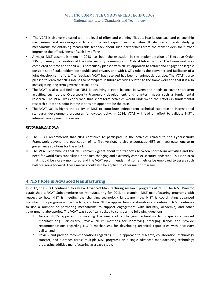- The VCAT is also very pleased with the level of effort and planning ITL puts into its outreach and partnership mechanisms and encourages it to continue and expand such activities. It also recommends studying mechanisms for obtaining measurable feedback about such partnerships from the stakeholders for further improving the effectiveness of such key efforts.
- A major NIST accomplishment in 2013 has been the execution in the implementation of Executive Order 13636, namely the creation of the Cybersecurity Framework for Critical Infrastructure. The Framework was completed on time and the VCAT is particularly pleased with NIST's approach to attract and engage the largest possible set of stakeholders both public and private, and with NIST's role as the convener and facilitator of a joint development effort. The feedback VCAT has received has been unanimously positive. The VCAT is also pleased to learn that NIST intends to participate in future activities related to the framework and that it is also investigating long term governance solutions.
- The VCAT is also satisfied that NIST is achieving a good balance between the needs to cover short-term activities, such as the Cybersecurity Framework development, and long-term needs such as fundamental research. The VCAT was concerned that short-term activities would undermine the efforts in fundamental research but at this point in time it does not appear to be the case.
- The VCAT values highly the ability of NIST to contribute independent technical expertise to international standards development processes for cryptography. In 2014, VCAT will lead an effort to validate NIST's internal development processes.

## *RECOMMENDATIONS:*

- $\triangleright$  The VCAT recommends that NIST continues to participate in the activities related to the Cybersecurity Framework beyond the publication of its first version. It also encourages NIST to investigate long-term governance solutions for the effort.
- $\triangleright$  The VCAT recommends that NIST remain vigilant about the tradeoffs between short-term activities and the need for world class capabilities in the fast changing and extremely complex security landscape. This is an area that should be closely monitored and the VCAT recommends that some metrics be employed to assess such balance going forward. These metrics could also be applied to other major programs.

# **4. NIST Role in Advanced Manufacturing**

In 2013, the VCAT continued to review Advanced Manufacturing research programs at NIST. The NIST Director established a VCAT Subcommittee on Manufacturing for 2013 to examine NIST manufacturing programs with respect to how NIST is meeting the changing technology landscape, how NIST is coordinating advanced manufacturing programs across the labs, and how NIST is approaching collaboration and outreach. NIST continues to use a number of partnering mechanisms to support engagement with industry, academia, and other government laboratories. The VCAT was specifically asked to consider the following questions:

- 1. Assess NIST's approach to meeting the needs of a changing technology landscape in advanced manufacturing. Particularly, review NIST's methods for identifying emerging trends and provide recommendations regarding NIST's mechanisms for developing technical capabilities with necessary agility; and
- 2. Review and provide recommendations regarding NIST's approach to research, collaboration, technology transfer, and outreach across multiple NIST programs on a single advanced manufacturing technology area, using additive manufacturing as a case study.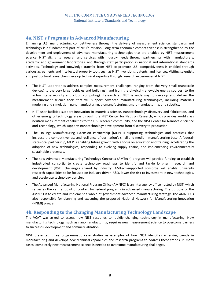# **4a. NIST's Programs in Advanced Manufacturing**

Enhancing U.S. manufacturing competitiveness through the delivery of measurement science, standards and technology is a fundamental part of NIST's mission. Long-term economic competitiveness is strengthened by the development and deployment of advanced manufacturing technologies that are enabled by NIST measurement science. NIST aligns its research and services with industry needs through partnerships with manufacturers, academic and government laboratories, and through staff participation in national and international standards activities. Technology and knowledge transfer from NIST to promote U.S. competitiveness is enabled through various agreements and intellectual property tools such as NIST inventions, patents, and licenses. Visiting scientists and postdoctoral researchers develop technical expertise through research experiences at NIST.

- The NIST Laboratories address complex measurement challenges, ranging from the very small (nanoscale devices) to the very large (vehicles and buildings), and from the physical (renewable energy sources) to the virtual (cybersecurity and cloud computing). Research at NIST is underway to develop and deliver the measurement science tools that will support advanced manufacturing technologies, including materials modeling and simulation, nanomanufacturing, biomanufacturing, smart manufacturing, and robotics.
- NIST user facilities support innovation in materials science, nanotechnology discovery and fabrication, and other emerging technology areas through the NIST Center for Neutron Research, which provides world class neutron measurement capabilities to the U.S. research community, and the NIST Center for Nanoscale Science and Technology, which supports nanotechnology development from discovery to production.
- The Hollings Manufacturing Extension Partnership (MEP) is supporting technologies and practices that increase the competitiveness and resilience of our nation's small and medium manufacturing base. A federalstate-local partnership, MEP is enabling future growth with a focus on education and training, accelerating the adoption of new technologies, responding to evolving supply chains, and implementing environmentally sustainable processes.
- The new Advanced Manufacturing Technology Consortia (AMTech) program will provide funding to establish industry-led consortia to create technology roadmaps to identify and tackle long-term research and development (R&D) challenges shared by industry. AMTech-supported consortia will enable university research capabilities to be focused on industry-driven R&D, lower the risk to investment in new technologies, and accelerate technology transfer.
- The Advanced Manufacturing National Program Office (AMNPO) is an interagency office hosted by NIST, which serves as the central point of contact for federal programs in advanced manufacturing. The purpose of the AMNPO is to create and implement a whole-of-government advanced manufacturing strategy. The AMNPO is also responsible for planning and executing the proposed National Network for Manufacturing Innovation (NNMI) program.

# **4b. Responding to the Changing Manufacturing Technology Landscape**

The VCAT was asked to assess how NIST responds to rapidly changing technology in manufacturing. New manufacturing technology, such as nanomanufacturing, requires new measurement science to overcome barriers to successful development and commercialization.

NIST presented three programmatic case studies as examples of how NIST identifies emerging trends in manufacturing and develops new technical capabilities and research programs to address these trends. In many cases, completely new measurement science is needed to overcome manufacturing challenges.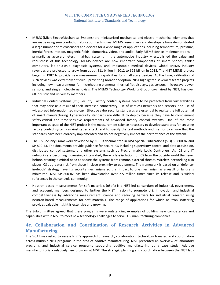- MEMS (MicroElectroMechanical Systems) are miniaturized mechanical and electro-mechanical elements that are made using semiconductor fabrication techniques. MEMS researchers and developers have demonstrated a large number of microsensors and devices for a wide range of applications including temperature, pressure, inertial forces, motion, magnetic fields, biometrics, video, and audio. Early MEMS device implementations primarily as accelerometers in airbag systems in the automotive industry – established the value and robustness of this technology. MEMS devices are now important components of smart phones, tablet computers, lab-on-a-chip diagnostic systems, and implantable medical devices. Global MEMS industry revenues are projected to grow from about \$11 billion in 2012 to \$22 billion in 2018. The NIST MEMS project began in 1987 to provide new measurement capabilities for small scale devices. At the time, calibration of such devices was extremely difficult – preventing broader adoption. NIST highlighted several research projects including new measurements for microheating elements, thermal flat displays, gas sensors, microwave power sensors, and single molecule nanovials. The MEMS Technology Working Group, co-chaired by NIST, has over 60 industry and university members.
- Industrial Control Systems (ICS) Security: Factory control systems need to be protected from vulnerabilities that may arise as a result of their increased connectivity, use of wireless networks and sensors, and use of widespread information technology. Effective cybersecurity standards are essential to realize the full potential of smart manufacturing. Cybersecurity standards are difficult to deploy because they have to complement safety-critical and time-sensitive requirements of advanced factory control systems. One of the most important outputs of the NIST project is the measurement science necessary to develop standards for securing factory control systems against cyber attack, and to specify the test methods and metrics to ensure that the standards have been correctly implemented and do not negatively impact the performance of the system.
- The ICS Security Framework developed by NIST is documented in NIST Special Publications (SPs) SP-800-82 and SP-800-53. The documents provide guidance for secure ICS including supervisory control and data acquisition, distributed control systems, and other systems such as Programmable Logic Controllers. As ICS and IT networks are becoming increasingly integrated, there is less isolation for ICS from the outside world than ever before, creating a critical need to secure the systems from remote, external threats. Wireless networking also places ICS at greater risk from those in close proximity to equipment. The framework is based on a "defensein-depth" strategy, layering security mechanisms so that impact to one mechanism as a result of failure is minimized. NIST SP 800-82 has been downloaded over 2.5 million times since its release and is widely referenced in the controls community.
- Neutron-based measurements for soft materials (nSoft) is a NIST-led consortium of industrial, government, and academic members designed to further the NIST mission to promote U.S. innovation and industrial competitiveness by advancing measurement science and reducing barriers for industrial research using neutron-based measurements for soft materials. The range of applications for which neutron scattering provides valuable insight is extensive and growing.

The Subcommittee agreed that these programs were outstanding examples of building new competences and capabilities within NIST to meet new technology challenges to serve U.S. manufacturing companies.

# **4c. Collaboration and Coordination of Research Activities in Advanced Manufacturing**

The VCAT was asked to assess NIST's approach to research, collaboration, technology transfer, and coordination across multiple NIST programs in the area of additive manufacturing. NIST presented an overview of laboratory programs and industrial service programs supporting additive manufacturing as a case study. Additive manufacturing is a relatively new program at NIST. The strategic planning and coordination between the NIST labs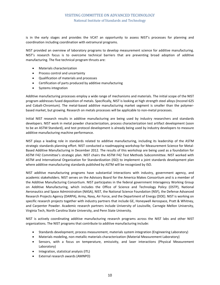is in the early stages and provides the VCAT an opportunity to assess NIST's processes for planning and coordination including coordination with extramural programs.

NIST provided an overview of laboratory programs to develop measurement science for additive manufacturing. NIST's research focus is to overcome technical barriers that are preventing broad adoption of additive manufacturing. The five technical program thrusts are:

- Materials characterization
- Process control and uncertainty
- Qualification of materials and processes
- Certification of parts produced by additive manufacturing
- Systems integration

Additive manufacturing processes employ a wide range of mechanisms and materials. The initial scope of the NIST program addresses fused deposition of metals. Specifically, NIST is looking at high strength steel alloys (Inconel 625 and Cobalt-Chromium). The metal-based additive manufacturing market segment is smaller than the polymerbased market, but growing. Research on metals processes will be applicable to non-metal processes.

Initial NIST research results in additive manufacturing are being used by industry researchers and standards developers. NIST work in metal powder characterization, process characterization test artifact development (soon to be an ASTM Standard), and test protocol development is already being used by industry developers to measure additive manufacturing machine performance.

NIST plays a leading role in standards related to additive manufacturing, including its leadership of the ASTM strategic standards planning effort. NIST conducted a roadmapping workshop for Measurement Science for Metal-Based Additive Manufacturing in December 2012. The results of this workshop are being used as a foundation for ASTM F42 Committee's strategic plan. NIST chairs the ASTM F42 Test Methods Subcommittee. NIST worked with ASTM and International Organization for Standardization (ISO) to implement a joint standards development plan where additive manufacturing standards published by ASTM will be recognized by ISO.

NIST additive manufacturing programs have substantial interactions with industry, government agency, and academic stakeholders. NIST serves on the Advisory Board for the America Makes Consortium and is a member of the Additive Manufacturing Consortium. NIST participates in the federal government Interagency Working Group on Additive Manufacturing, which includes the Office of Science and Technology Policy (OSTP), National Aeronautics and Space Administration (NASA), NIST, the National Science Foundation (NSF), the Defense Advanced Research Projects Agency (DARPA), Army, Navy, Air Force, and the Department of Energy (DOE). NIST is working on specific research projects together with industry partners that include GE, Honeywell Aerospace, Pratt & Whitney, and Carpenter Powder. Academic research partners include University of Louisville, Carnegie Mellon University, Virginia Tech, North Carolina State University, and Penn State University.

NIST is actively coordinating additive manufacturing research programs across the NIST labs and other NIST organizations. The NIST programs that contribute to additive manufacturing include:

- Standards development, process measurement, materials system integration (Engineering Laboratory)
- Materials modeling, non-metallic materials characterization (Material Measurement Laboratory)
- Sensors, with a focus on temperature, emissivity, and laser interactions (Physical Measurement Laboratory)
- Integration, statistical analysis (ITL)
- External research awards (AMNPO)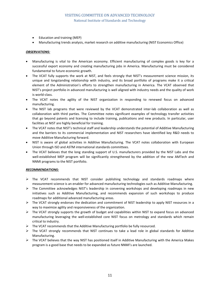- Education and training (MEP)
- Manufacturing trends analysis, market research on additive manufacturing (NIST Economics Office)

### *OBSERVATIONS:*

- Manufacturing is vital to the American economy. Efficient manufacturing of complex goods is key for a successful export economy and creating manufacturing jobs in America. Manufacturing must be considered fundamental to future economic growth.
- The VCAT fully supports the work at NIST, and feels strongly that NIST's measurement science mission, its unique and longstanding relationship with industry, and its broad portfolio of programs make it a critical element of the Administration's efforts to strengthen manufacturing in America. The VCAT observed that NIST's project portfolio in advanced manufacturing is well aligned with industry needs and the quality of work is world-class.
- The VCAT notes the agility of the NIST organization in responding to renewed focus on advanced manufacturing.
- The NIST lab programs that were reviewed by the VCAT demonstrated inter-lab collaboration as well as collaboration with third parties. The Committee notes significant examples of technology transfer activities that go beyond patents and licensing to include training, publications and new products. In particular, user facilities at NIST are highly beneficial for training.
- The VCAT notes that NIST's technical staff and leadership understands the potential of Additive Manufacturing and the barriers to its commercial implementation and NIST researchers have identified key R&D needs to move Additive Manufacturing forward.
- NIST is aware of global activities in Additive Manufacturing. The VCAT notes collaboration with European Union through ISO and ASTM international standards committees.
- The VCAT believes that the long standing support of U.S. manufacturers provided by the NIST Labs and the well-established MEP program will be significantly strengthened by the addition of the new AMTech and NNMI programs to the NIST portfolio.

## *RECOMMENDATIONS:*

- $\triangleright$  The VCAT recommends that NIST consider publishing technology and standards roadmaps where measurement science is an enabler for advanced manufacturing technologies such as Additive Manufacturing.
- $\triangleright$  The Committee acknowledges NIST's leadership in convening workshops and developing roadmaps in new initiatives such as Additive Manufacturing, and recommends expansion of such workshops to produce roadmaps for additional advanced manufacturing areas.
- $\triangleright$  The VCAT strongly endorses the dedication and commitment of NIST leadership to apply NIST resources in a way to maximize agility and responsiveness of the organization.
- $\triangleright$  The VCAT strongly supports the growth of budget and capabilities within NIST to expand focus on advanced manufacturing leveraging the well-established core NIST focus on metrology and standards which remain critical to industry.
- $\triangleright$  The VCAT recommends that the Additive Manufacturing portfolio be fully resourced.
- $\triangleright$  The VCAT strongly recommends that NIST continues to take a lead role in global standards for Additive Manufacturing.
- $\triangleright$  The VCAT believes that the way NIST has positioned itself in Additive Manufacturing with the America Makes program is a good base that needs to be expanded as future NNMI's are launched.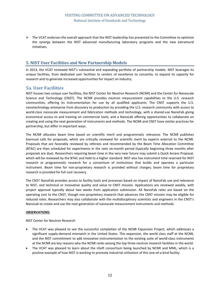$\triangleright$  The VCAT endorses the overall approach that the NIST leadership has presented to the Committee to optimize the synergy between the NIST advanced manufacturing laboratory programs and the new extramural initiatives.

# **5. NIST User Facilities and New Partnership Models**

In 2013, the VCAT reviewed NIST's substantial and expanding portfolio of partnership models. NIST leverages its unique facilities, from dedicated user facilities to centers of excellence to consortia, to expand its capacity for research and to generate increased opportunities for impact on industry.

# **5a. User Facilities**

NIST houses two unique user facilities, the NIST Center for Neutron Research (NCNR) and the Center for Nanoscale Science and Technology (CNST). The NCNR provides neutron measurement capabilities to the U.S. research communities, offering its instrumentation for use by all qualified applicants. The CNST supports the U.S. nanotechnology enterprise from discovery to production by providing the U.S. research community with access to world-class nanoscale measurement and fabrication methods and technology, with a shared-use NanoFab giving economical access to and training on commercial tools, and a NanoLab offering opportunities to collaborate on creating and using the next generation of instruments and methods. The NCNR and CNST have similar practices for partnership, but differ in important ways.

The NCNR allocates beam time based on scientific merit and programmatic relevance. The NCNR publishes biannual calls for proposals, which are critically reviewed for scientific merit by experts external to the NCNR. Proposals that are favorably reviewed by referees and recommended by the Beam Time Allocation Committee (BTAC) are then scheduled for experiments in the next six-month period (typically beginning three months after proposals are due). Researchers requiring beam time in the very near future may submit a Quick Access Proposal, which will be reviewed by the BTAC and held to a higher standard. NIST also has instrument time reserved for NIST research or programmatic research for a consortium of institutions that builds and operates a particular instrument. Beam time for non-proprietary research is provided without charges; beam time for proprietary research is provided for full cost recovery.

The CNST NanoFab provides access to facility tools and processes based on impact of NanoFab use and relevance to NIST, and technical or innovative quality and value to CNST mission. Applications are reviewed weekly, with project approval typically about two weeks from application submission. All NanoFab rates are based on the operating cost to the CNST, though non-proprietary research that advances the CNST mission may be eligible for reduced rates. Researchers may also collaborate with the multidisciplinary scientists and engineers in the CNST's NanoLab to create and use the next generation of nanoscale measurement instruments and methods.

## *OBSERVATIONS:*

NIST Center for Neutron Research

- The VCAT was pleased to see the successful completion of the NCNR Expansion Project, which addresses a significant supply-demand mismatch in the United States. This expansion, the world class staff at the NCNR, and the NIST commitment to add innovative instrumentation to the existing suite of world-class instruments at the NCNR are key reasons why the NCNR ranks among the top three neutron research facilities in the world.
- The VCAT was pleased to learn about the nSoft consortium being launched by NCNR and MML, which is a positive example of how NIST is working to promote industrial utilization of this one-of-a-kind facility.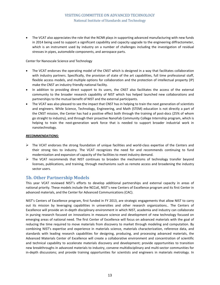• The VCAT also appreciates the role that the NCNR plays in supporting advanced manufacturing with new funds in 2014 being used to support a significant capability and capacity upgrade to the engineering diffractometer, which is an instrument used by industry on a number of challenges including the investigation of residual stresses in pipes, automobile components, and aerospace parts.

### Center for Nanoscale Science and Technology

- The VCAT endorses the operating model of the CNST which is designed in a way that facilitates collaboration with industry partners. Specifically, the provision of state of the art capabilities, full time professional staff, flexible access models, and multiple options for collaboration and the protection of intellectual property (IP) make the CNST an industry friendly national facility.
- In addition to providing direct support to its users, the CNST also facilitates the access of the external community to the broader research capability of NIST which has helped launched new collaborations and partnerships to the mutual benefit of NIST and the external participants.
- The VCAT was also pleased to see the impact that CNST has in helping to train the next generation of scientists and engineers. While Science, Technology, Engineering, and Math (STEM) education is not directly a part of the CNST mission, the Center has had a positive effect both through the training of post-docs (25% of whom go straight to industry), and through their proactive NanoFab Community College Internship program, which is helping to train the next-generation work force that is needed to support broader industrial work in nanotechnology.

#### *RECOMMENDATIONS:*

- $\triangleright$  The VCAT endorses the strong foundation of unique facilities and world-class expertise of the Centers and their strong ties to industry. The VCAT recognizes the need for and recommends continuing to fund modernization and expansion of capacity of the facilities to meet industry demand.
- $\triangleright$  The VCAT recommends that NIST continues to broaden the mechanisms of technology transfer beyond licenses, publications, and training, through mechanisms such as remote access and broadening the industry sector users.

# **5b. Other Partnership Models**

This year VCAT reviewed NIST's efforts to develop additional partnerships and external capacity in areas of national priority. These models include the NCCoE, NIST's new Centers of Excellence program and its first Center in advanced materials, and the Center for Advanced Communications (CAC).

NIST's Centers of Excellence program, first funded in FY 2013, are strategic engagements that allow NIST to carry out its mission by leveraging capabilities in universities and other research organizations.. The Centers of Excellence will provide an in-depth disciplinary environment in which NIST, academia and industry can collaborate in pursing research focused on innovations in measure science and development of new technology focused on emerging areas of national need. The first Center of Excellence will focus on advanced materials with the goal of reducing the time required to move materials from discovery to market through modeling and computation. By combining NIST's expertise and experience in materials science, materials characterization, reference data, and standards with leading research capabilities for designing, producing, and processing advanced materials, the Advanced Materials Center of Excellence will create a collaborative environment and concentration of scientific and technical capability to accelerate materials discovery and development; provide opportunities to transition new breakthroughs in advanced materials to industry, convene multidisciplinary and multi-sector communities for in-depth discussions; and provide training opportunities for scientists and engineers in materials metrology. In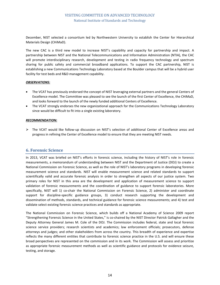December, NIST selected a consortium led by Northwestern University to establish the Center for Hierarchical Materials Design (CHiMaD).

The new CAC is a third new model to increase NIST's capability and capacity for partnership and impact. A partnership between NIST and the National Telecommunications and Information Administration (NTIA), the CAC will promote interdisciplinary research, development and testing in radio frequency technology and spectrum sharing for public safety and commercial broadband applications. To support the CAC partnership, NIST is establishing a new Communications Technology Laboratory based at the Boulder campus that will be a hybrid user facility for test beds and R&D management capability.

#### *OBSERVATIONS:*

- The VCAT has previously endorsed the concept of NIST leveraging external partners and the general Centers of Excellence model. The Committee was pleased to see the launch of the first Center of Excellence, the CHiMaD, and looks forward to the launch of the newly funded additional Centers of Excellence.
- The VCAT strongly endorses the new organizational approach for the Communications Technology Laboratory since would be difficult to fit into a single existing laboratory.

## *RECOMMENDATION:*

 The VCAT would like follow-up discussion on NIST's selection of additional Center of Excellence areas and progress in refining the Center of Excellence model to ensure that they are meeting NIST needs.

## **6. Forensic Science**

In 2013, VCAT was briefed on NIST's efforts in forensic science, including the history of NIST's role in forensic measurements, a memorandum of understanding between NIST and the Department of Justice (DOJ) to create a National Commission on Forensic Science, as well as the role of NIST's laboratory programs in developing forensic measurement science and standards. NIST will enable measurement science and related standards to support scientifically valid and accurate forensic analysis in order to strengthen all aspects of our justice system. Two primary roles for NIST in this area are the development and application of measurement science to support validation of forensic measurements and the coordination of guidance to support forensic laboratories. More specifically, NIST will 1) co-chair the National Commission on Forensic Science, 2) administer and coordinate support for discipline-specific guidance groups, 3) conduct research supporting the development and dissemination of methods, standards, and technical guidance for forensic science measurements; and 4) test and validate select existing forensic science practices and standards as appropriate.

The National Commission on Forensic Science, which builds off a National Academy of Science 2009 report "Strengthening Forensic Science in the United States," is co-chaired by the NIST Director Patrick Gallagher and the Deputy Attorney General James M. Cole of the DOJ. The Commission includes federal, state and local forensic science service providers; research scientists and academics; law enforcement officials; prosecutors, defense attorneys and judges; and other stakeholders from across the country. This breadth of experience and expertise reflects the many different entities that contribute to forensic science practice in the U.S. and will ensure these broad perspectives are represented on the commission and in its work. The Commission will assess and prioritize as appropriate forensic measurement methods as well as scientific guidance and protocols for evidence seizure, testing, and storage.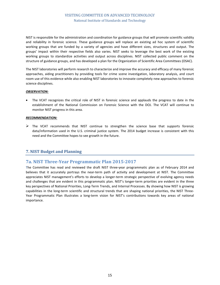NIST is responsible for the administration and coordination for guidance groups that will promote scientific validity and reliability in forensic science. These guidance groups will replace an existing ad hoc system of scientific working groups that are funded by a variety of agencies and have different sizes, structures and output. The groups' impact within their respective fields also varies. NIST seeks to leverage the best work of the existing working groups to standardize activities and output across disciplines. NIST collected public comment on the structure of guidance groups, and has developed a plan for the Organization of Scientific Area Committees (OSAC).

The NIST laboratories will perform research to characterize and improve the accuracy and efficacy of many forensic approaches, aiding practitioners by providing tools for crime scene investigation, laboratory analysis, and court room use of this evidence while also enabling NIST laboratories to innovate completely new approaches to forensic science disciplines.

## *OBSERVATION:*

• The VCAT recognizes the critical role of NIST in forensic science and applauds the progress to date in the establishment of the National Commission on Forensic Science with the DOJ. The VCAT will continue to monitor NIST progress in this area.

#### *RECOMMENDATION:*

 $\triangleright$  The VCAT recommends that NIST continue to strengthen the science base that supports forensic data/information used in the U.S. criminal justice system. The 2014 budget increase is consistent with this need and the Committee hopes to see growth in the future.

# **7. NIST Budget and Planning**

# **7a. NIST Three-Year Programmatic Plan 2015-2017**

The Committee has read and reviewed the draft NIST three-year programmatic plan as of February 2014 and believes that it accurately portrays the near-term path of activity and development at NIST. The Committee appreciates NIST management's efforts to develop a longer-term strategic perspective of evolving agency needs and challenges that are evident in this programmatic plan. NIST's longer-term priorities are evident in the three key perspectives of National Priorities, Long-Term Trends, and Internal Processes. By showing how NIST is growing capabilities in the long-term scientific and structural trends that are shaping national priorities, the NIST Three-Year Programmatic Plan illustrates a long-term vision for NIST's contributions towards key areas of national importance.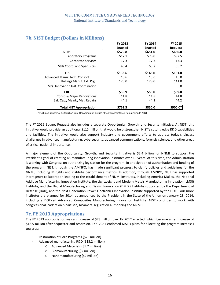|                                    | FY 2013        | FY 2014        | <b>FY 2015</b> |
|------------------------------------|----------------|----------------|----------------|
|                                    | <b>Enacted</b> | <b>Enacted</b> | Request        |
| <b>STRS</b>                        | \$579.8        | \$651.0        | \$680.0        |
| Laboratory Programs                | 517.1          | 578.0          | 597.5          |
| <b>Corporate Services</b>          | 17.3           | 17.3           | 17.3           |
| Stds Coord. and Spec. Prgs.        | 45.4           | 55.7           | 65.2           |
| <b>ITS</b>                         | \$133.6        | \$143.0        | \$161.0        |
| Advanced Manu. Tech. Consort.      | 10.6           | 15.0           | 15.0           |
| Hollings Manuf. Ext. Prg.          | 123.0          | 128.0          | 141.0          |
| Mfg. Innovation Inst. Coordination |                |                | 5.0            |
| <b>CRF</b>                         | \$55.9         | \$56.0         | \$59.0         |
| Const. & Major Renovations         | 11.8           | 11.8           | 14.8           |
| Saf. Cap., Maint., Maj. Repairs    | 44.1           | 44.2           | 44.2           |
| <b>Total NIST Appropriation</b>    | \$769.3        | \$850.0        | $$900.0*$      |

# **7b. NIST Budget (Dollars in Millions)**

\* Excludes transfer of \$4.9 million from Department of Justice / Election Assistance Commission to NIST

The FY 2015 Budget Request also includes a separate Opportunity, Growth, and Security Initiative. At NIST, this Initiative would provide an additional \$115 million that would help strengthen NIST's cutting edge R&D capabilities and facilities. The initiative would also support industry and government efforts to address today's biggest challenges in advanced manufacturing, cybersecurity, advanced communications, forensic science, and other areas of critical national importance.

A major element of the Opportunity, Growth, and Security Initiative is \$2.4 billion for NNMI to support the President's goal of creating 45 manufacturing innovation institutes over 10 years. At this time, the Administration is working with Congress on authorizing legislation for the program. In anticipation of authorization and funding of the program, NIST, through the AMNPO, has made significant progress to clarify policies and guidelines for the NNMI, including IP rights and institute performance metrics. In addition, through AMNPO, NIST has supported interagency collaboration leading to the establishment of NNMI institutes, including America Makes, the National Additive Manufacturing Innovation Institute, the Lightweight and Modern Metals Manufacturing Innovation (LM3I) Institute, and the Digital Manufacturing and Design Innovation (DMDI) Institute supported by the Department of Defense (DoD), and the Next Generation Power Electronics Innovation Institute supported by the DOE. Four more institutes are planned for 2014, as announced by the President in the State of the Union on January 28, 2014, including a DOE-led Advanced Composites Manufacturing Innovation Institute. NIST continues to work with congressional leaders on bipartisan, bicameral legislation authorizing the NNMI.

# **7c. FY 2013 Appropriations**

The FY 2013 appropriation was an increase of \$73 million over FY 2012 enacted, which became a net increase of \$18.5 million after sequester and rescission. The VCAT endorsed NIST's plans for allocating the program increases towards:

- Restoration of Core Programs (\$20 million)
- Advanced manufacturing R&D (\$15.2 million)
	- o Advanced Materials (\$5.2 million)
	- o Biomanufacturing (\$2 million)
	- o Nanomanufacturing (\$2 million)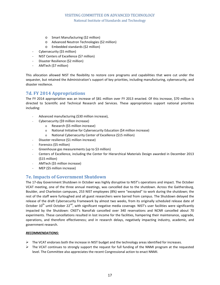- o Smart Manufacturing (\$2 million)
- o Advanced Neutron Technologies (\$2 million)
- o Embedded standards (\$2 million)
- Cybersecurity (\$5 million)
- NIST Centers of Excellence (\$7 million)
- Disaster Resilience (\$2 million)
- AMTech (\$7 million)

This allocation allowed NIST the flexibility to restore core programs and capabilities that were cut under the sequester, but retained the Administration's support of key priorities, including manufacturing, cybersecurity, and disaster resilience.

# **7d. FY 2014 Appropriations**

The FY 2014 appropriation was an increase of \$81 million over FY 2013 enacted. Of this increase, \$70 million is directed to Scientific and Technical Research and Services. These appropriations support national priorities including:

- Advanced manufacturing (\$30 million increase),
- Cybersecurity (\$9 million increase)
	- o Research (\$5 million increase)
	- o National Initiative for Cybersecurity Education (\$4 million increase)
	- o National Cybersecurity Center of Excellence (\$15 million)
- Disaster resilience (\$1 million increase)
- Forensics (\$5 million)
- Greenhouse gas measurements (up to \$3 million)
- Centers of Excellence, including the Center for Hierarchical Materials Design awarded in December 2013 (\$15 million)
- AMTech (\$5 million increase)
- MEP (\$5 million increase)

## **7e. Impacts of Government Shutdown**

The 17-day Government Shutdown in October was highly disruptive to NIST's operations and impact. The October VCAT meeting, one of the three annual meetings, was cancelled due to the shutdown. Across the Gaithersburg, Boulder, and Charleston campuses, 253 NIST employees (8%) were "excepted" to work during the shutdown; the rest of the staff were furloughed and all guest researchers were barred from campus. The Shutdown delayed the release of the draft Cybersecurity Framework by almost two weeks, from its originally scheduled release date of October 10<sup>th</sup> until October 22<sup>nd</sup>, with significant negative media coverage. NIST's user facilities were significantly impacted by the Shutdown: CNST's NanoFab cancelled over 340 reservations and NCNR cancelled about 70 experiments. These cancellations resulted in lost income for the facilities, hampering their maintenance, upgrade, operations, and therefore effectiveness; and in research delays, negatively impacting industry, academic, and government research.

#### *RECOMMENDATIONS***:**

- $\triangleright$  The VCAT endorses both the increase in NIST budget and the technology areas identified for increases.
- $\triangleright$  The VCAT continues to strongly support the request for full funding of the NNMI program at the requested level. The Committee also appreciates the recent Congressional action to enact NNMI.